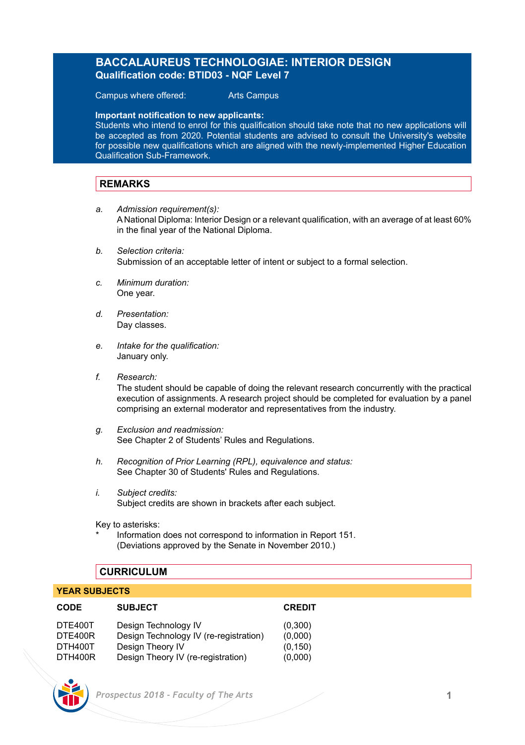# **BACCALAUREUS TECHNOLOGIAE: INTERIOR DESIGN Qualification code: BTID03 - NQF Level 7**

Campus where offered: Arts Campus

**Important notification to new applicants:** 

Students who intend to enrol for this qualification should take note that no new applications will be accepted as from 2020. Potential students are advised to consult the University's website for possible new qualifications which are aligned with the newly-implemented Higher Education Qualification Sub-Framework.

# **REMARKS**

- *a. Admission requirement(s):* A National Diploma: Interior Design or a relevant qualification, with an average of at least 60% in the final year of the National Diploma.
- *b. Selection criteria:* Submission of an acceptable letter of intent or subject to a formal selection.
- *c. Minimum duration:* One year.
- *d. Presentation:*  Day classes.
- *e. Intake for the qualification:* January only.
- *f. Research:*

The student should be capable of doing the relevant research concurrently with the practical execution of assignments. A research project should be completed for evaluation by a panel comprising an external moderator and representatives from the industry.

- *g. Exclusion and readmission:* See Chapter 2 of Students' Rules and Regulations.
- *h. Recognition of Prior Learning (RPL), equivalence and status:* See Chapter 30 of Students' Rules and Regulations.
- *i. Subject credits:* Subject credits are shown in brackets after each subject.

Key to asterisks:

Information does not correspond to information in Report 151. (Deviations approved by the Senate in November 2010.)

## **CURRICULUM**

#### **YEAR SUBJECTS**

| <b>CODE</b> | <b>SUBJECT</b>                         | <b>CREDIT</b> |
|-------------|----------------------------------------|---------------|
| DTE400T     | Design Technology IV                   | (0,300)       |
| DTE400R     | Design Technology IV (re-registration) | (0,000)       |
| DTH400T     | Design Theory IV                       | (0, 150)      |
| DTH400R     | Design Theory IV (re-registration)     | (0,000)       |